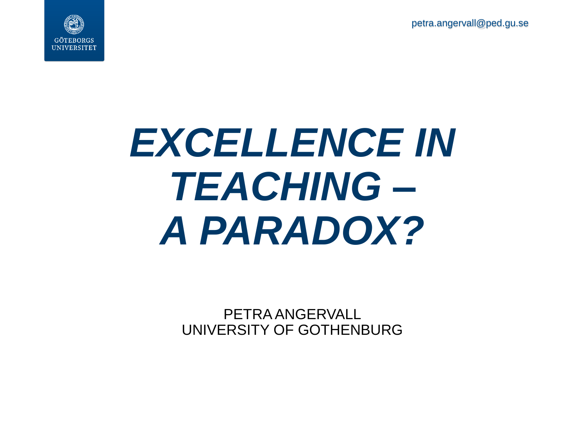petra.angervall@ped.gu.se



# *EXCELLENCE IN TEACHING – A PARADOX?*

PETRA ANGERVALL UNIVERSITY OF GOTHENBURG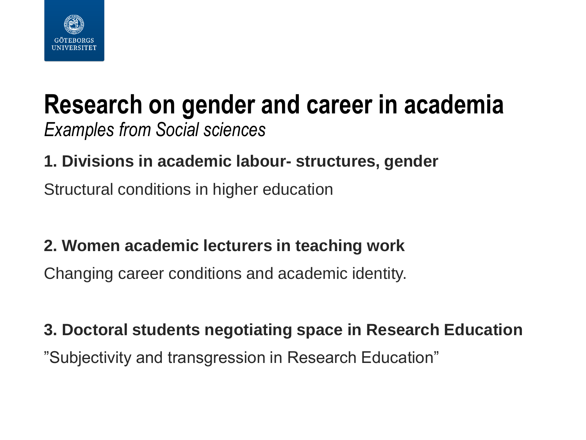

#### **Research on gender and career in academia** *Examples from Social sciences*

#### **1. Divisions in academic labour- structures, gender**

Structural conditions in higher education

#### **2. Women academic lecturers in teaching work**

Changing career conditions and academic identity.

## **3. Doctoral students negotiating space in Research Education**

"Subjectivity and transgression in Research Education"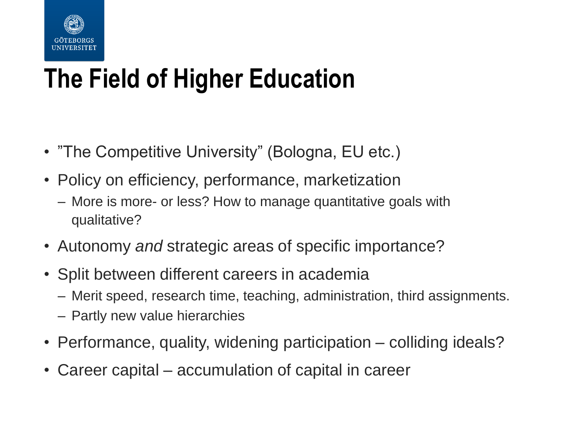

### **The Field of Higher Education**

- "The Competitive University" (Bologna, EU etc.)
- Policy on efficiency, performance, marketization
	- More is more- or less? How to manage quantitative goals with qualitative?
- Autonomy *and* strategic areas of specific importance?
- Split between different careers in academia
	- Merit speed, research time, teaching, administration, third assignments.
	- Partly new value hierarchies
- Performance, quality, widening participation colliding ideals?
- Career capital accumulation of capital in career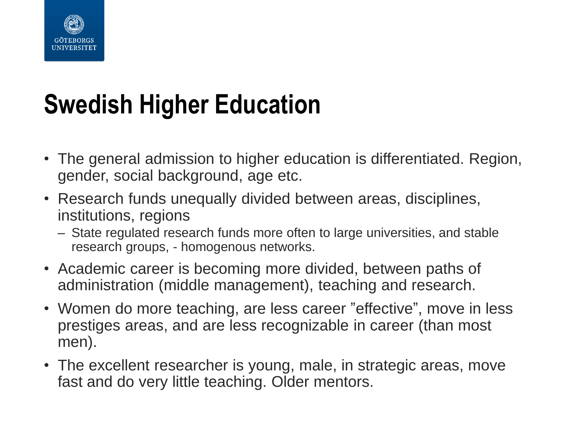

### **Swedish Higher Education**

- The general admission to higher education is differentiated. Region, gender, social background, age etc.
- Research funds unequally divided between areas, disciplines, institutions, regions
	- State regulated research funds more often to large universities, and stable research groups, - homogenous networks.
- Academic career is becoming more divided, between paths of administration (middle management), teaching and research.
- Women do more teaching, are less career "effective", move in less prestiges areas, and are less recognizable in career (than most men).
- The excellent researcher is young, male, in strategic areas, move fast and do very little teaching. Older mentors.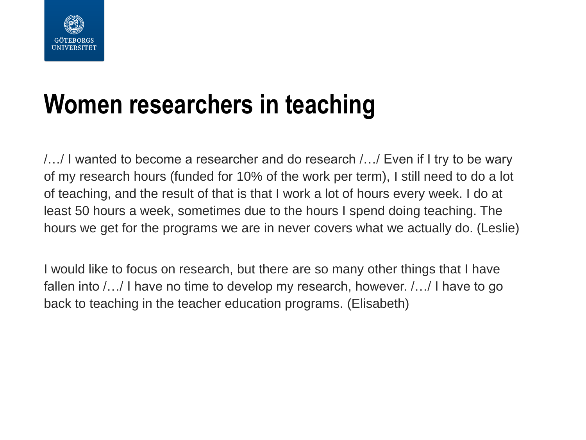

#### **Women researchers in teaching**

/…/ I wanted to become a researcher and do research /…/ Even if I try to be wary of my research hours (funded for 10% of the work per term), I still need to do a lot of teaching, and the result of that is that I work a lot of hours every week. I do at least 50 hours a week, sometimes due to the hours I spend doing teaching. The hours we get for the programs we are in never covers what we actually do. (Leslie)

I would like to focus on research, but there are so many other things that I have fallen into /…/ I have no time to develop my research, however. /…/ I have to go back to teaching in the teacher education programs. (Elisabeth)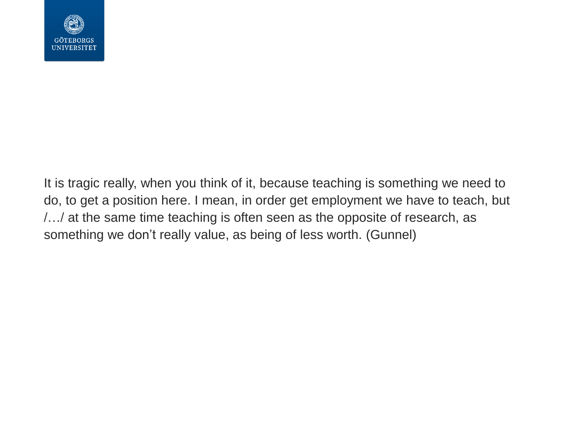

It is tragic really, when you think of it, because teaching is something we need to do, to get a position here. I mean, in order get employment we have to teach, but /…/ at the same time teaching is often seen as the opposite of research, as something we don't really value, as being of less worth. (Gunnel)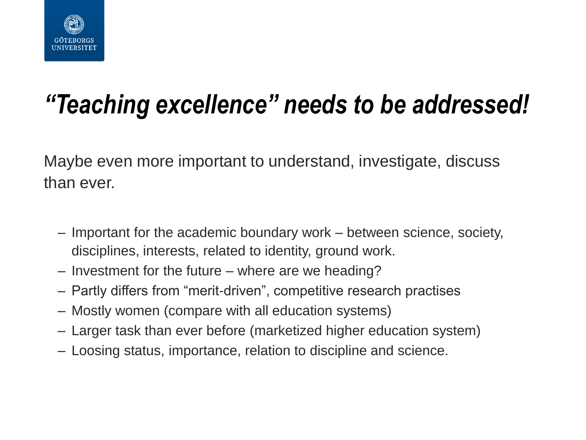

### *"Teaching excellence" needs to be addressed!*

Maybe even more important to understand, investigate, discuss than ever.

- Important for the academic boundary work between science, society, disciplines, interests, related to identity, ground work.
- Investment for the future where are we heading?
- Partly differs from "merit-driven", competitive research practises
- Mostly women (compare with all education systems)
- Larger task than ever before (marketized higher education system)
- Loosing status, importance, relation to discipline and science.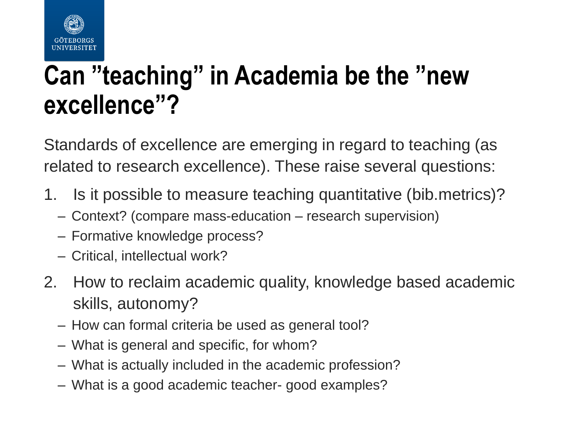

#### **Can "teaching" in Academia be the "new excellence"?**

Standards of excellence are emerging in regard to teaching (as related to research excellence). These raise several questions:

- 1. Is it possible to measure teaching quantitative (bib.metrics)?
	- Context? (compare mass-education research supervision)
	- Formative knowledge process?
	- Critical, intellectual work?
- 2. How to reclaim academic quality, knowledge based academic skills, autonomy?
	- How can formal criteria be used as general tool?
	- What is general and specific, for whom?
	- What is actually included in the academic profession?
	- What is a good academic teacher- good examples?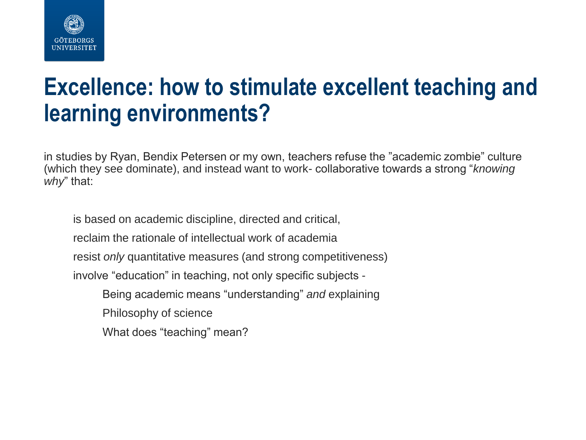

#### **Excellence: how to stimulate excellent teaching and learning environments?**

in studies by Ryan, Bendix Petersen or my own, teachers refuse the "academic zombie" culture (which they see dominate), and instead want to work- collaborative towards a strong "*knowing why*" that:

is based on academic discipline, directed and critical, reclaim the rationale of intellectual work of academia resist *only* quantitative measures (and strong competitiveness) involve "education" in teaching, not only specific subjects - Being academic means "understanding" *and* explaining Philosophy of science What does "teaching" mean?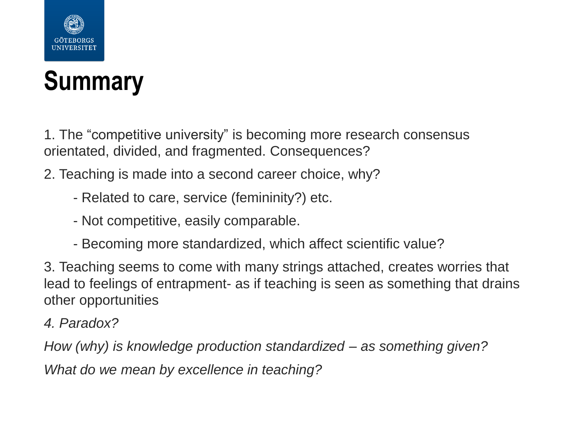

#### **Summary**

1. The "competitive university" is becoming more research consensus orientated, divided, and fragmented. Consequences?

- 2. Teaching is made into a second career choice, why?
	- Related to care, service (femininity?) etc.
	- Not competitive, easily comparable.
	- Becoming more standardized, which affect scientific value?

3. Teaching seems to come with many strings attached, creates worries that lead to feelings of entrapment- as if teaching is seen as something that drains other opportunities

*4. Paradox?*

*How (why) is knowledge production standardized – as something given?* 

*What do we mean by excellence in teaching?*